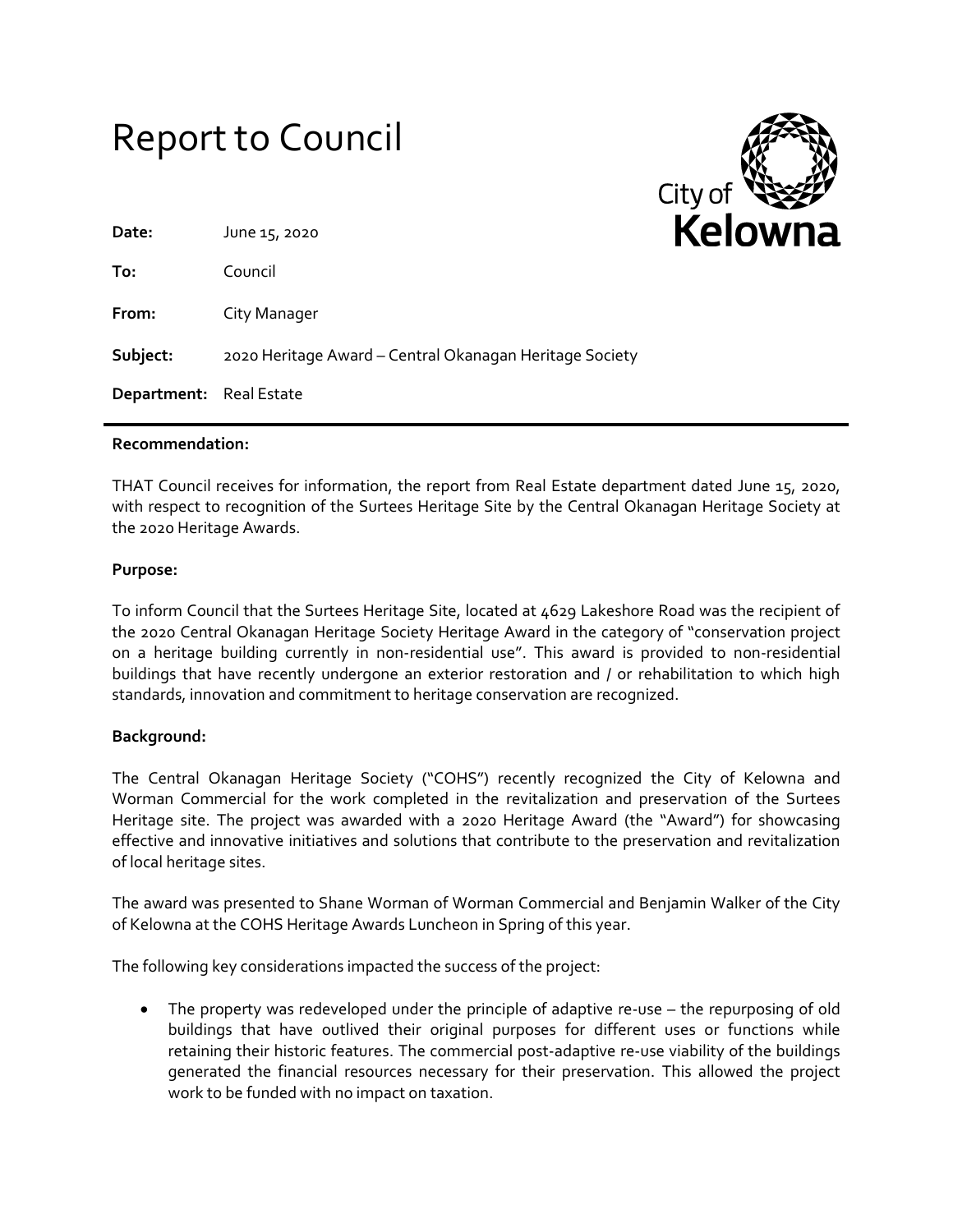# Report to Council



| Date:                          | June 15, 2020                                           |
|--------------------------------|---------------------------------------------------------|
| To:                            | Council                                                 |
| From:                          | City Manager                                            |
| Subject:                       | 2020 Heritage Award - Central Okanagan Heritage Society |
| <b>Department:</b> Real Estate |                                                         |
|                                |                                                         |

#### **Recommendation:**

THAT Council receives for information, the report from Real Estate department dated June 15, 2020, with respect to recognition of the Surtees Heritage Site by the Central Okanagan Heritage Society at the 2020 Heritage Awards.

#### **Purpose:**

To inform Council that the Surtees Heritage Site, located at 4629 Lakeshore Road was the recipient of the 2020 Central Okanagan Heritage Society Heritage Award in the category of "conservation project on a heritage building currently in non-residential use". This award is provided to non-residential buildings that have recently undergone an exterior restoration and / or rehabilitation to which high standards, innovation and commitment to heritage conservation are recognized.

### **Background:**

The Central Okanagan Heritage Society ("COHS") recently recognized the City of Kelowna and Worman Commercial for the work completed in the revitalization and preservation of the Surtees Heritage site. The project was awarded with a 2020 Heritage Award (the "Award") for showcasing effective and innovative initiatives and solutions that contribute to the preservation and revitalization of local heritage sites.

The award was presented to Shane Worman of Worman Commercial and Benjamin Walker of the City of Kelowna at the COHS Heritage Awards Luncheon in Spring of this year.

The following key considerations impacted the success of the project:

 The property was redeveloped under the principle of adaptive re-use – the repurposing of old buildings that have outlived their original purposes for different uses or functions while retaining their historic features. The commercial post-adaptive re-use viability of the buildings generated the financial resources necessary for their preservation. This allowed the project work to be funded with no impact on taxation.